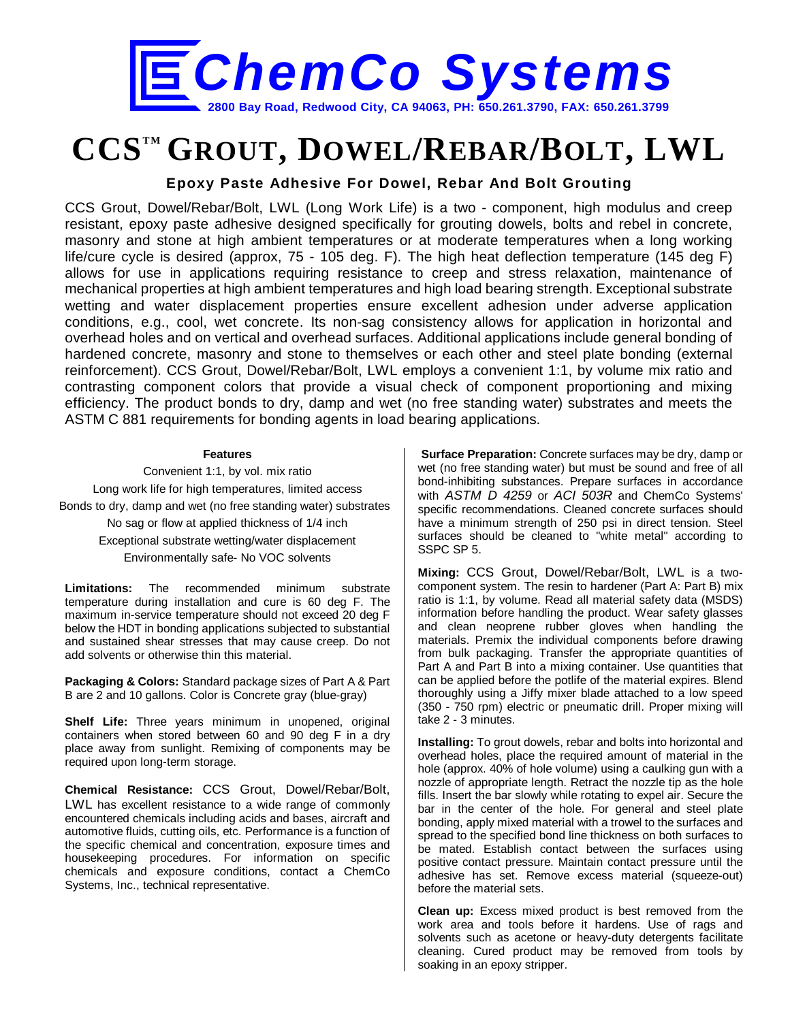

## **CCSTM GROUT, DOWEL/REBAR/BOLT, LWL**

**Epoxy Paste Adhesive For Dowel, Rebar And Bolt Grouting**

CCS Grout, Dowel/Rebar/Bolt, LWL (Long Work Life) is a two - component, high modulus and creep resistant, epoxy paste adhesive designed specifically for grouting dowels, bolts and rebel in concrete, masonry and stone at high ambient temperatures or at moderate temperatures when a long working life/cure cycle is desired (approx, 75 - 105 deg. F). The high heat deflection temperature (145 deg F) allows for use in applications requiring resistance to creep and stress relaxation, maintenance of mechanical properties at high ambient temperatures and high load bearing strength. Exceptional substrate wetting and water displacement properties ensure excellent adhesion under adverse application conditions, e.g., cool, wet concrete. Its non-sag consistency allows for application in horizontal and overhead holes and on vertical and overhead surfaces. Additional applications include general bonding of hardened concrete, masonry and stone to themselves or each other and steel plate bonding (external reinforcement). CCS Grout, Dowel/Rebar/Bolt, LWL employs a convenient 1:1, by volume mix ratio and contrasting component colors that provide a visual check of component proportioning and mixing efficiency. The product bonds to dry, damp and wet (no free standing water) substrates and meets the ASTM C 881 requirements for bonding agents in load bearing applications.

## **Features**

Convenient 1:1, by vol. mix ratio Long work life for high temperatures, limited access Bonds to dry, damp and wet (no free standing water) substrates

> No sag or flow at applied thickness of 1/4 inch Exceptional substrate wetting/water displacement Environmentally safe- No VOC solvents

**Limitations:** The recommended minimum substrate temperature during installation and cure is 60 deg F. The maximum in-service temperature should not exceed 20 deg F below the HDT in bonding applications subjected to substantial and sustained shear stresses that may cause creep. Do not add solvents or otherwise thin this material.

**Packaging & Colors:** Standard package sizes of Part A & Part B are 2 and 10 gallons. Color is Concrete gray (blue-gray)

**Shelf Life:** Three years minimum in unopened, original containers when stored between 60 and 90 deg F in a dry place away from sunlight. Remixing of components may be required upon long-term storage.

**Chemical Resistance:** CCS Grout, Dowel/Rebar/Bolt, LWL has excellent resistance to a wide range of commonly encountered chemicals including acids and bases, aircraft and automotive fluids, cutting oils, etc. Performance is a function of the specific chemical and concentration, exposure times and housekeeping procedures. For information on specific chemicals and exposure conditions, contact a ChemCo Systems, Inc., technical representative.

**Surface Preparation:** Concrete surfaces may be dry, damp or wet (no free standing water) but must be sound and free of all bond-inhibiting substances. Prepare surfaces in accordance with *ASTM D 4259* or *ACI 503R* and ChemCo Systems' specific recommendations. Cleaned concrete surfaces should have a minimum strength of 250 psi in direct tension. Steel surfaces should be cleaned to "white metal" according to SSPC SP 5.

**Mixing:** CCS Grout, Dowel/Rebar/Bolt, LWL is a twocomponent system. The resin to hardener (Part A: Part B) mix ratio is 1:1, by volume. Read all material safety data (MSDS) information before handling the product. Wear safety glasses and clean neoprene rubber gloves when handling the materials. Premix the individual components before drawing from bulk packaging. Transfer the appropriate quantities of Part A and Part B into a mixing container. Use quantities that can be applied before the potlife of the material expires. Blend thoroughly using a Jiffy mixer blade attached to a low speed (350 - 750 rpm) electric or pneumatic drill. Proper mixing will take 2 - 3 minutes.

**Installing:** To grout dowels, rebar and bolts into horizontal and overhead holes, place the required amount of material in the hole (approx. 40% of hole volume) using a caulking gun with a nozzle of appropriate length. Retract the nozzle tip as the hole fills. Insert the bar slowly while rotating to expel air. Secure the bar in the center of the hole. For general and steel plate bonding, apply mixed material with a trowel to the surfaces and spread to the specified bond line thickness on both surfaces to be mated. Establish contact between the surfaces using positive contact pressure. Maintain contact pressure until the adhesive has set. Remove excess material (squeeze-out) before the material sets.

**Clean up:** Excess mixed product is best removed from the work area and tools before it hardens. Use of rags and solvents such as acetone or heavy-duty detergents facilitate cleaning. Cured product may be removed from tools by soaking in an epoxy stripper.